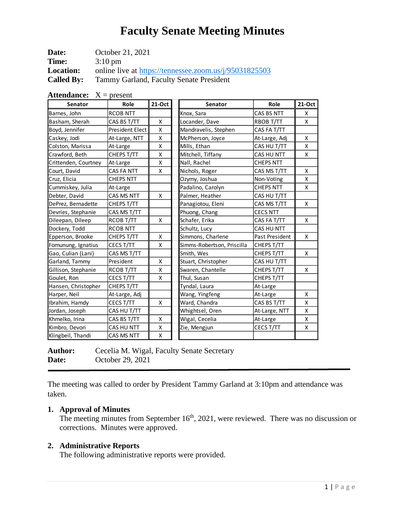| Date:             | October 21, 2021                                       |
|-------------------|--------------------------------------------------------|
| Time:             | $3:10 \text{ pm}$                                      |
| <b>Location:</b>  | online live at https://tennessee.zoom.us/j/95031825503 |
| <b>Called By:</b> | Tammy Garland, Faculty Senate President                |

| <b>Attendance:</b> $X = present$ |                  |        |                            |                  |        |  |
|----------------------------------|------------------|--------|----------------------------|------------------|--------|--|
| Senator                          | Role             | 21-Oct | <b>Senator</b>             | Role             | 21-Oct |  |
| Barnes, John                     | <b>RCOB NTT</b>  |        | Knox, Sara                 | CAS BS NTT       |        |  |
| Basham, Sherah                   | CAS BS T/TT      | X      | Locander, Dave             | <b>RBOB T/TT</b> |        |  |
| Boyd, Jennifer                   | President Elect  | X      | Mandravelis, Stephen       | CAS FA T/TT      |        |  |
| Caskey, Jodi                     | At-Large, NTT    | X      | McPherson, Joyce           | At-Large, Adj    |        |  |
| Colston, Marissa                 | At-Large         | X      | Mills, Ethan               | CAS HU T/TT      |        |  |
| Crawford, Beth                   | CHEPS T/TT       | х      | Mitchell, Tiffany          | CAS HU NTT       |        |  |
| Crittenden, Courtney             | At-Large         | X      | Nall, Rachel               | <b>CHEPS NTT</b> |        |  |
| Court, David                     | CAS FA NTT       | X      | Nichols, Roger             | CAS MS T/TT      |        |  |
| Cruz, Elicia                     | <b>CHEPS NTT</b> |        | Ozymy, Joshua              | Non-Voting       |        |  |
| Cummiskey, Julia                 | At-Large         |        | Padalino, Carolyn          | <b>CHEPS NTT</b> |        |  |
| Debter, David                    | CAS MS NTT       | X      | Palmer, Heather            | CAS HU T/TT      |        |  |
| DePrez, Bernadette               | CHEPS T/TT       |        | Panagiotou, Eleni          | CAS MS T/TT      |        |  |
| Devries, Stephanie               | CAS MS T/TT      |        | Phuong, Chang              | <b>CECS NTT</b>  |        |  |
| Dileepan, Dileep                 | RCOB T/TT        | X      | Schafer, Erika             | CAS FA T/TT      |        |  |
| Dockery, Todd                    | <b>RCOB NTT</b>  |        | Schultz, Lucy              | CAS HU NTT       |        |  |
| Epperson, Brooke                 | CHEPS T/TT       | X      | Simmons, Charlene          | Past President   |        |  |
| Fomunung, Ignatius               | CECS T/TT        | X      | Simms-Robertson, Priscilla | CHEPS T/TT       |        |  |
| Gao, Culian (Lani)               | CAS MS T/TT      |        | Smith, Wes                 | CHEPS T/TT       |        |  |
| Garland, Tammy                   | President        | X      | Stuart, Christopher        | CAS HU T/TT      |        |  |
| Gillison, Stephanie              | <b>RCOB T/TT</b> | X      | Swaren, Chantelle          | CHEPS T/TT       |        |  |
| Goulet, Ron                      | CECS T/TT        | X      | Thul, Susan                | CHEPS T/TT       |        |  |
| Hansen, Christopher              | CHEPS T/TT       |        | Tyndal, Laura              | At-Large         |        |  |
| Harper, Neil                     | At-Large, Adj    |        | Wang, Yingfeng             | At-Large         |        |  |
| Ibrahim, Hamdy                   | CECS T/TT        | X      | Ward, Chandra              | CAS BS T/TT      |        |  |
| Jordan, Joseph                   | CAS HU T/TT      |        | Whightsel, Oren            | At-Large, NTT    |        |  |
| Khmelko, Irina                   | CAS BS T/TT      | X      | Wigal, Cecelia             | At-Large         |        |  |
| Kimbro, Devori                   | CAS HU NTT       | X      | Zie, Mengjun               | CECS T/TT        |        |  |
| Klingbeil, Thandi                | CAS MS NTT       | X      |                            |                  |        |  |

Author: Cecelia M. Wigal, Faculty Senate Secretary **Date:** October 29, 2021

The meeting was called to order by President Tammy Garland at 3:10pm and attendance was taken.

# **1. Approval of Minutes**

The meeting minutes from September  $16<sup>th</sup>$ , 2021, were reviewed. There was no discussion or corrections. Minutes were approved.

# **2. Administrative Reports**

The following administrative reports were provided.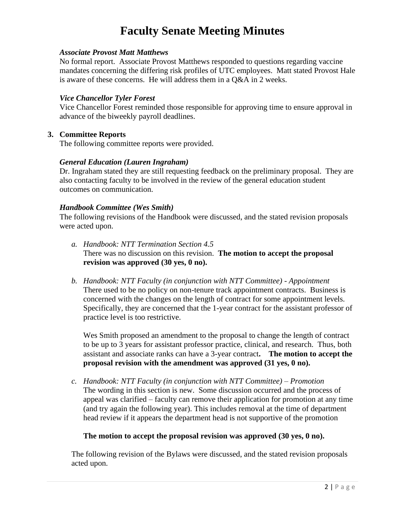### *Associate Provost Matt Matthews*

No formal report. Associate Provost Matthews responded to questions regarding vaccine mandates concerning the differing risk profiles of UTC employees. Matt stated Provost Hale is aware of these concerns. He will address them in a Q&A in 2 weeks.

#### *Vice Chancellor Tyler Forest*

Vice Chancellor Forest reminded those responsible for approving time to ensure approval in advance of the biweekly payroll deadlines.

#### **3. Committee Reports**

The following committee reports were provided.

### *General Education (Lauren Ingraham)*

Dr. Ingraham stated they are still requesting feedback on the preliminary proposal. They are also contacting faculty to be involved in the review of the general education student outcomes on communication.

#### *Handbook Committee (Wes Smith)*

The following revisions of the Handbook were discussed, and the stated revision proposals were acted upon.

- *a. Handbook: NTT Termination Section 4.5* There was no discussion on this revision. **The motion to accept the proposal revision was approved (30 yes, 0 no).**
- *b. Handbook: NTT Faculty (in conjunction with NTT Committee) - Appointment* There used to be no policy on non-tenure track appointment contracts. Business is concerned with the changes on the length of contract for some appointment levels. Specifically, they are concerned that the 1-year contract for the assistant professor of practice level is too restrictive.

Wes Smith proposed an amendment to the proposal to change the length of contract to be up to 3 years for assistant professor practice, clinical, and research. Thus, both assistant and associate ranks can have a 3-year contract**. The motion to accept the proposal revision with the amendment was approved (31 yes, 0 no).** 

*c. Handbook: NTT Faculty (in conjunction with NTT Committee) – Promotion* The wording in this section is new. Some discussion occurred and the process of appeal was clarified – faculty can remove their application for promotion at any time (and try again the following year). This includes removal at the time of department head review if it appears the department head is not supportive of the promotion

#### **The motion to accept the proposal revision was approved (30 yes, 0 no).**

The following revision of the Bylaws were discussed, and the stated revision proposals acted upon.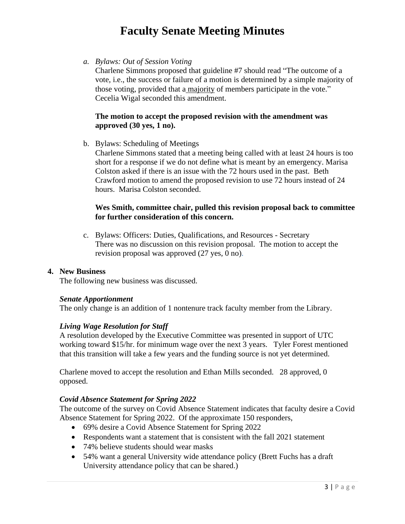*a. Bylaws: Out of Session Voting*

Charlene Simmons proposed that guideline #7 should read "The outcome of a vote, i.e., the success or failure of a motion is determined by a simple majority of those voting, provided that a majority of members participate in the vote." Cecelia Wigal seconded this amendment.

## **The motion to accept the proposed revision with the amendment was approved (30 yes, 1 no).**

b. Bylaws: Scheduling of Meetings

Charlene Simmons stated that a meeting being called with at least 24 hours is too short for a response if we do not define what is meant by an emergency. Marisa Colston asked if there is an issue with the 72 hours used in the past. Beth Crawford motion to amend the proposed revision to use 72 hours instead of 24 hours. Marisa Colston seconded.

### **Wes Smith, committee chair, pulled this revision proposal back to committee for further consideration of this concern.**

c. Bylaws: Officers: Duties, Qualifications, and Resources - Secretary There was no discussion on this revision proposal. The motion to accept the revision proposal was approved (27 yes, 0 no).

## **4. New Business**

The following new business was discussed.

#### *Senate Apportionment*

The only change is an addition of 1 nontenure track faculty member from the Library.

### *Living Wage Resolution for Staff*

A resolution developed by the Executive Committee was presented in support of UTC working toward \$15/hr. for minimum wage over the next 3 years. Tyler Forest mentioned that this transition will take a few years and the funding source is not yet determined.

Charlene moved to accept the resolution and Ethan Mills seconded. 28 approved, 0 opposed.

### *Covid Absence Statement for Spring 2022*

The outcome of the survey on Covid Absence Statement indicates that faculty desire a Covid Absence Statement for Spring 2022. Of the approximate 150 responders,

- 69% desire a Covid Absence Statement for Spring 2022
- Respondents want a statement that is consistent with the fall 2021 statement
- 74% believe students should wear masks
- 54% want a general University wide attendance policy (Brett Fuchs has a draft University attendance policy that can be shared.)